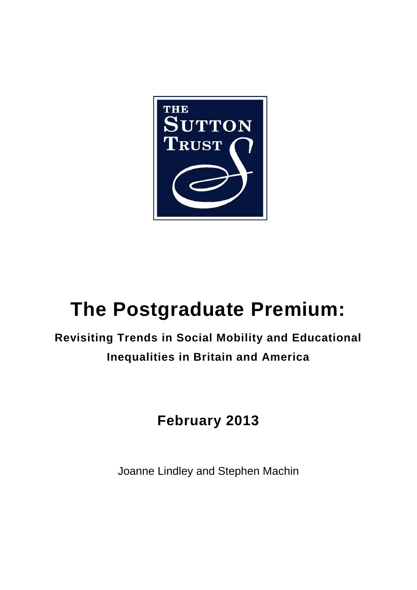

# **The Postgraduate Premium:**

# **Revisiting Trends in Social Mobility and Educational Inequalities in Britain and America**

# **February 2013**

Joanne Lindley and Stephen Machin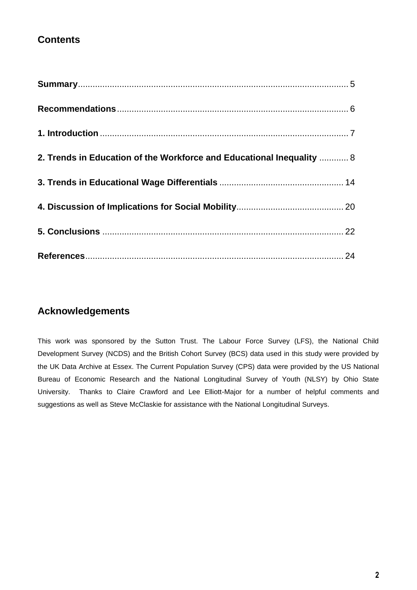# **Contents**

| 2. Trends in Education of the Workforce and Educational Inequality  8 |  |
|-----------------------------------------------------------------------|--|
|                                                                       |  |
|                                                                       |  |
|                                                                       |  |
|                                                                       |  |

# **Acknowledgements**

This work was sponsored by the Sutton Trust. The Labour Force Survey (LFS), the National Child Development Survey (NCDS) and the British Cohort Survey (BCS) data used in this study were provided by the UK Data Archive at Essex. The Current Population Survey (CPS) data were provided by the US National Bureau of Economic Research and the National Longitudinal Survey of Youth (NLSY) by Ohio State University. Thanks to Claire Crawford and Lee Elliott-Major for a number of helpful comments and suggestions as well as Steve McClaskie for assistance with the National Longitudinal Surveys.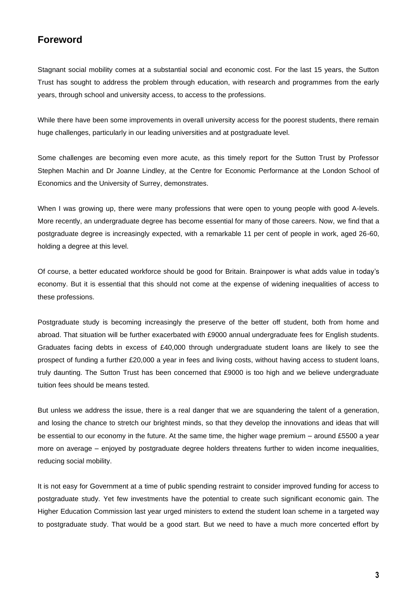# **Foreword**

Stagnant social mobility comes at a substantial social and economic cost. For the last 15 years, the Sutton Trust has sought to address the problem through education, with research and programmes from the early years, through school and university access, to access to the professions.

While there have been some improvements in overall university access for the poorest students, there remain huge challenges, particularly in our leading universities and at postgraduate level.

Some challenges are becoming even more acute, as this timely report for the Sutton Trust by Professor Stephen Machin and Dr Joanne Lindley, at the Centre for Economic Performance at the London School of Economics and the University of Surrey, demonstrates.

When I was growing up, there were many professions that were open to young people with good A-levels. More recently, an undergraduate degree has become essential for many of those careers. Now, we find that a postgraduate degree is increasingly expected, with a remarkable 11 per cent of people in work, aged 26-60, holding a degree at this level.

Of course, a better educated workforce should be good for Britain. Brainpower is what adds value in today's economy. But it is essential that this should not come at the expense of widening inequalities of access to these professions.

Postgraduate study is becoming increasingly the preserve of the better off student, both from home and abroad. That situation will be further exacerbated with £9000 annual undergraduate fees for English students. Graduates facing debts in excess of £40,000 through undergraduate student loans are likely to see the prospect of funding a further £20,000 a year in fees and living costs, without having access to student loans, truly daunting. The Sutton Trust has been concerned that £9000 is too high and we believe undergraduate tuition fees should be means tested.

But unless we address the issue, there is a real danger that we are squandering the talent of a generation, and losing the chance to stretch our brightest minds, so that they develop the innovations and ideas that will be essential to our economy in the future. At the same time, the higher wage premium – around £5500 a year more on average – enjoyed by postgraduate degree holders threatens further to widen income inequalities, reducing social mobility.

It is not easy for Government at a time of public spending restraint to consider improved funding for access to postgraduate study. Yet few investments have the potential to create such significant economic gain. The Higher Education Commission last year urged ministers to extend the student loan scheme in a targeted way to postgraduate study. That would be a good start. But we need to have a much more concerted effort by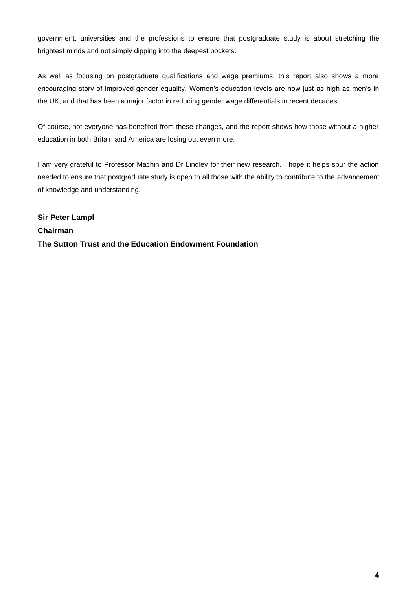government, universities and the professions to ensure that postgraduate study is about stretching the brightest minds and not simply dipping into the deepest pockets.

As well as focusing on postgraduate qualifications and wage premiums, this report also shows a more encouraging story of improved gender equality. Women's education levels are now just as high as men's in the UK, and that has been a major factor in reducing gender wage differentials in recent decades.

Of course, not everyone has benefited from these changes, and the report shows how those without a higher education in both Britain and America are losing out even more.

I am very grateful to Professor Machin and Dr Lindley for their new research. I hope it helps spur the action needed to ensure that postgraduate study is open to all those with the ability to contribute to the advancement of knowledge and understanding.

**Sir Peter Lampl Chairman The Sutton Trust and the Education Endowment Foundation**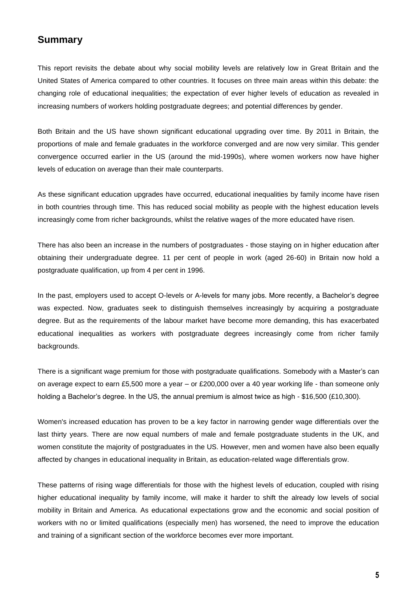# <span id="page-4-0"></span>**Summary**

This report revisits the debate about why social mobility levels are relatively low in Great Britain and the United States of America compared to other countries. It focuses on three main areas within this debate: the changing role of educational inequalities; the expectation of ever higher levels of education as revealed in increasing numbers of workers holding postgraduate degrees; and potential differences by gender.

Both Britain and the US have shown significant educational upgrading over time. By 2011 in Britain, the proportions of male and female graduates in the workforce converged and are now very similar. This gender convergence occurred earlier in the US (around the mid-1990s), where women workers now have higher levels of education on average than their male counterparts.

As these significant education upgrades have occurred, educational inequalities by family income have risen in both countries through time. This has reduced social mobility as people with the highest education levels increasingly come from richer backgrounds, whilst the relative wages of the more educated have risen.

There has also been an increase in the numbers of postgraduates - those staying on in higher education after obtaining their undergraduate degree. 11 per cent of people in work (aged 26-60) in Britain now hold a postgraduate qualification, up from 4 per cent in 1996.

In the past, employers used to accept O-levels or A-levels for many jobs. More recently, a Bachelor's degree was expected. Now, graduates seek to distinguish themselves increasingly by acquiring a postgraduate degree. But as the requirements of the labour market have become more demanding, this has exacerbated educational inequalities as workers with postgraduate degrees increasingly come from richer family backgrounds.

There is a significant wage premium for those with postgraduate qualifications. Somebody with a Master's can on average expect to earn £5,500 more a year – or £200,000 over a 40 year working life - than someone only holding a Bachelor's degree. In the US, the annual premium is almost twice as high - \$16,500 (£10,300).

Women's increased education has proven to be a key factor in narrowing gender wage differentials over the last thirty years. There are now equal numbers of male and female postgraduate students in the UK, and women constitute the majority of postgraduates in the US. However, men and women have also been equally affected by changes in educational inequality in Britain, as education-related wage differentials grow.

These patterns of rising wage differentials for those with the highest levels of education, coupled with rising higher educational inequality by family income, will make it harder to shift the already low levels of social mobility in Britain and America. As educational expectations grow and the economic and social position of workers with no or limited qualifications (especially men) has worsened, the need to improve the education and training of a significant section of the workforce becomes ever more important.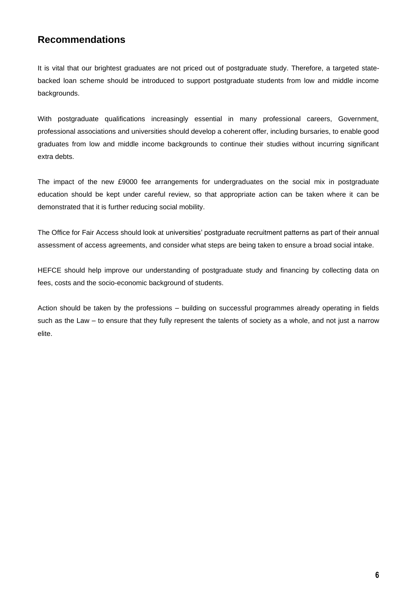# <span id="page-5-0"></span>**Recommendations**

It is vital that our brightest graduates are not priced out of postgraduate study. Therefore, a targeted statebacked loan scheme should be introduced to support postgraduate students from low and middle income backgrounds.

With postgraduate qualifications increasingly essential in many professional careers, Government, professional associations and universities should develop a coherent offer, including bursaries, to enable good graduates from low and middle income backgrounds to continue their studies without incurring significant extra debts.

The impact of the new £9000 fee arrangements for undergraduates on the social mix in postgraduate education should be kept under careful review, so that appropriate action can be taken where it can be demonstrated that it is further reducing social mobility.

The Office for Fair Access should look at universities' postgraduate recruitment patterns as part of their annual assessment of access agreements, and consider what steps are being taken to ensure a broad social intake.

HEFCE should help improve our understanding of postgraduate study and financing by collecting data on fees, costs and the socio-economic background of students.

Action should be taken by the professions – building on successful programmes already operating in fields such as the Law – to ensure that they fully represent the talents of society as a whole, and not just a narrow elite.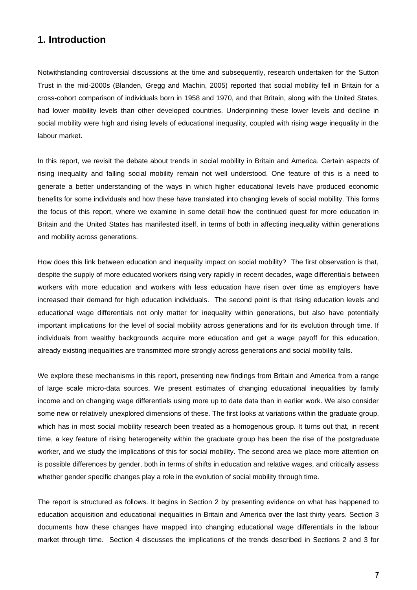# <span id="page-6-0"></span>**1. Introduction**

Notwithstanding controversial discussions at the time and subsequently, research undertaken for the Sutton Trust in the mid-2000s (Blanden, Gregg and Machin, 2005) reported that social mobility fell in Britain for a cross-cohort comparison of individuals born in 1958 and 1970, and that Britain, along with the United States, had lower mobility levels than other developed countries. Underpinning these lower levels and decline in social mobility were high and rising levels of educational inequality, coupled with rising wage inequality in the labour market.

In this report, we revisit the debate about trends in social mobility in Britain and America. Certain aspects of rising inequality and falling social mobility remain not well understood. One feature of this is a need to generate a better understanding of the ways in which higher educational levels have produced economic benefits for some individuals and how these have translated into changing levels of social mobility. This forms the focus of this report, where we examine in some detail how the continued quest for more education in Britain and the United States has manifested itself, in terms of both in affecting inequality within generations and mobility across generations.

How does this link between education and inequality impact on social mobility? The first observation is that, despite the supply of more educated workers rising very rapidly in recent decades, wage differentials between workers with more education and workers with less education have risen over time as employers have increased their demand for high education individuals. The second point is that rising education levels and educational wage differentials not only matter for inequality within generations, but also have potentially important implications for the level of social mobility across generations and for its evolution through time. If individuals from wealthy backgrounds acquire more education and get a wage payoff for this education, already existing inequalities are transmitted more strongly across generations and social mobility falls.

We explore these mechanisms in this report, presenting new findings from Britain and America from a range of large scale micro-data sources. We present estimates of changing educational inequalities by family income and on changing wage differentials using more up to date data than in earlier work. We also consider some new or relatively unexplored dimensions of these. The first looks at variations within the graduate group, which has in most social mobility research been treated as a homogenous group. It turns out that, in recent time, a key feature of rising heterogeneity within the graduate group has been the rise of the postgraduate worker, and we study the implications of this for social mobility. The second area we place more attention on is possible differences by gender, both in terms of shifts in education and relative wages, and critically assess whether gender specific changes play a role in the evolution of social mobility through time.

The report is structured as follows. It begins in Section 2 by presenting evidence on what has happened to education acquisition and educational inequalities in Britain and America over the last thirty years. Section 3 documents how these changes have mapped into changing educational wage differentials in the labour market through time. Section 4 discusses the implications of the trends described in Sections 2 and 3 for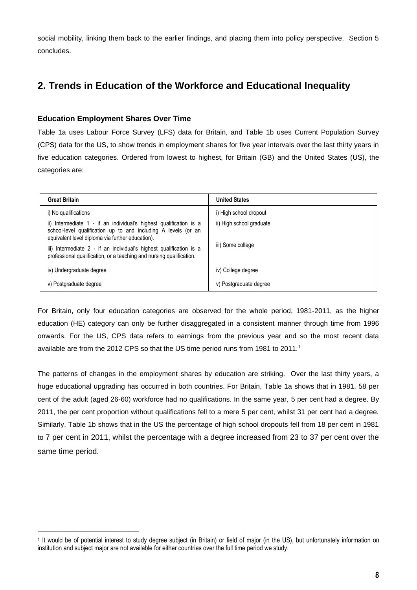social mobility, linking them back to the earlier findings, and placing them into policy perspective. Section 5 concludes.

# <span id="page-7-0"></span>**2. Trends in Education of the Workforce and Educational Inequality**

#### **Education Employment Shares Over Time**

Table 1a uses Labour Force Survey (LFS) data for Britain, and Table 1b uses Current Population Survey (CPS) data for the US, to show trends in employment shares for five year intervals over the last thirty years in five education categories. Ordered from lowest to highest, for Britain (GB) and the United States (US), the categories are:

| <b>Great Britain</b>                                                                                                                                                                     | <b>United States</b>     |
|------------------------------------------------------------------------------------------------------------------------------------------------------------------------------------------|--------------------------|
| i) No qualifications                                                                                                                                                                     | i) High school dropout   |
| ii) Intermediate 1 - if an individual's highest qualification is a<br>school-level qualification up to and including A levels (or an<br>equivalent level diploma via further education). | ii) High school graduate |
| iii) Intermediate 2 - if an individual's highest qualification is a<br>professional qualification, or a teaching and nursing qualification.                                              | iii) Some college        |
| iv) Undergraduate degree                                                                                                                                                                 | iv) College degree       |
| v) Postgraduate degree                                                                                                                                                                   | v) Postgraduate degree   |

For Britain, only four education categories are observed for the whole period, 1981-2011, as the higher education (HE) category can only be further disaggregated in a consistent manner through time from 1996 onwards. For the US, CPS data refers to earnings from the previous year and so the most recent data available are from the 2012 CPS so that the US time period runs from 1981 to 2011.<sup>1</sup>

The patterns of changes in the employment shares by education are striking. Over the last thirty years, a huge educational upgrading has occurred in both countries. For Britain, Table 1a shows that in 1981, 58 per cent of the adult (aged 26-60) workforce had no qualifications. In the same year, 5 per cent had a degree. By 2011, the per cent proportion without qualifications fell to a mere 5 per cent, whilst 31 per cent had a degree. Similarly, Table 1b shows that in the US the percentage of high school dropouts fell from 18 per cent in 1981 to 7 per cent in 2011, whilst the percentage with a degree increased from 23 to 37 per cent over the same time period.

 1 It would be of potential interest to study degree subject (in Britain) or field of major (in the US), but unfortunately information on institution and subject major are not available for either countries over the full time period we study.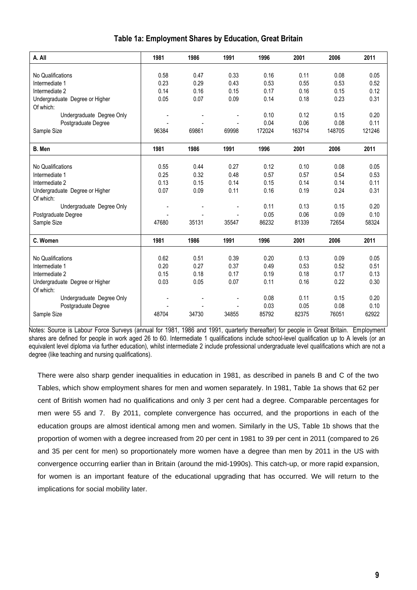| A. All                         | 1981  | 1986  | 1991  | 1996   | 2001   | 2006   | 2011   |
|--------------------------------|-------|-------|-------|--------|--------|--------|--------|
|                                |       |       |       |        |        |        |        |
| No Qualifications              | 0.58  | 0.47  | 0.33  | 0.16   | 0.11   | 0.08   | 0.05   |
| Intermediate 1                 | 0.23  | 0.29  | 0.43  | 0.53   | 0.55   | 0.53   | 0.52   |
| Intermediate 2                 | 0.14  | 0.16  | 0.15  | 0.17   | 0.16   | 0.15   | 0.12   |
| Undergraduate Degree or Higher | 0.05  | 0.07  | 0.09  | 0.14   | 0.18   | 0.23   | 0.31   |
| Of which:                      |       |       |       |        |        |        |        |
| Undergraduate Degree Only      |       |       |       | 0.10   | 0.12   | 0.15   | 0.20   |
| Postgraduate Degree            |       |       |       | 0.04   | 0.06   | 0.08   | 0.11   |
| Sample Size                    | 96384 | 69861 | 69998 | 172024 | 163714 | 148705 | 121246 |
|                                |       |       |       |        |        |        |        |
| B. Men                         | 1981  | 1986  | 1991  | 1996   | 2001   | 2006   | 2011   |
|                                |       |       |       |        |        |        |        |
| No Qualifications              | 0.55  | 0.44  | 0.27  | 0.12   | 0.10   | 0.08   | 0.05   |
| Intermediate 1                 | 0.25  | 0.32  | 0.48  | 0.57   | 0.57   | 0.54   | 0.53   |
| Intermediate 2                 | 0.13  | 0.15  | 0.14  | 0.15   | 0.14   | 0.14   | 0.11   |
| Undergraduate Degree or Higher | 0.07  | 0.09  | 0.11  | 0.16   | 0.19   | 0.24   | 0.31   |
| Of which:                      |       |       |       |        |        |        |        |
| Undergraduate Degree Only      |       |       |       | 0.11   | 0.13   | 0.15   | 0.20   |
| Postgraduate Degree            |       |       |       | 0.05   | 0.06   | 0.09   | 0.10   |
| Sample Size                    | 47680 | 35131 | 35547 | 86232  | 81339  | 72654  | 58324  |
|                                |       |       |       |        |        |        |        |
| C. Women                       | 1981  | 1986  | 1991  | 1996   | 2001   | 2006   | 2011   |
|                                |       |       |       |        |        |        |        |
| No Qualifications              | 0.62  | 0.51  | 0.39  | 0.20   | 0.13   | 0.09   | 0.05   |
| Intermediate 1                 | 0.20  | 0.27  | 0.37  | 0.49   | 0.53   | 0.52   | 0.51   |
| Intermediate 2                 | 0.15  | 0.18  | 0.17  | 0.19   | 0.18   | 0.17   | 0.13   |
| Undergraduate Degree or Higher | 0.03  | 0.05  | 0.07  | 0.11   | 0.16   | 0.22   | 0.30   |
| Of which:                      |       |       |       |        |        |        |        |
| Undergraduate Degree Only      |       |       |       | 0.08   | 0.11   | 0.15   | 0.20   |
| Postgraduate Degree            |       |       |       | 0.03   | 0.05   | 0.08   | 0.10   |
| Sample Size                    | 48704 | 34730 | 34855 | 85792  | 82375  | 76051  | 62922  |

#### **Table 1a: Employment Shares by Education, Great Britain**

Notes: Source is Labour Force Surveys (annual for 1981, 1986 and 1991, quarterly thereafter) for people in Great Britain. Employment shares are defined for people in work aged 26 to 60. Intermediate 1 qualifications include school-level qualification up to A levels (or an equivalent level diploma via further education), whilst intermediate 2 include professional undergraduate level qualifications which are not a degree (like teaching and nursing qualifications).

There were also sharp gender inequalities in education in 1981, as described in panels B and C of the two Tables, which show employment shares for men and women separately. In 1981, Table 1a shows that 62 per cent of British women had no qualifications and only 3 per cent had a degree. Comparable percentages for men were 55 and 7. By 2011, complete convergence has occurred, and the proportions in each of the education groups are almost identical among men and women. Similarly in the US, Table 1b shows that the proportion of women with a degree increased from 20 per cent in 1981 to 39 per cent in 2011 (compared to 26 and 35 per cent for men) so proportionately more women have a degree than men by 2011 in the US with convergence occurring earlier than in Britain (around the mid-1990s). This catch-up, or more rapid expansion, for women is an important feature of the educational upgrading that has occurred. We will return to the implications for social mobility later.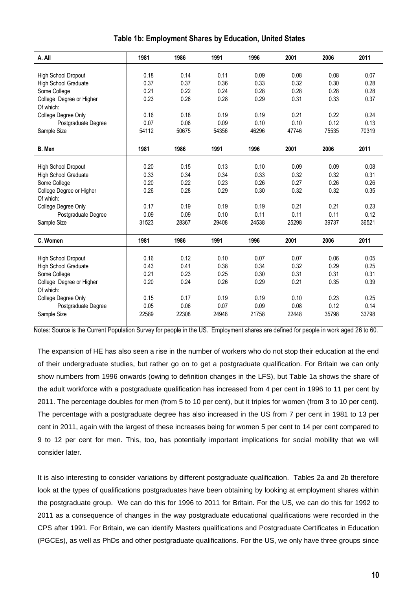| A. All                      | 1981  | 1986  | 1991  | 1996  | 2001  | 2006  | 2011  |
|-----------------------------|-------|-------|-------|-------|-------|-------|-------|
|                             |       |       |       |       |       |       |       |
| High School Dropout         | 0.18  | 0.14  | 0.11  | 0.09  | 0.08  | 0.08  | 0.07  |
| High School Graduate        | 0.37  | 0.37  | 0.36  | 0.33  | 0.32  | 0.30  | 0.28  |
| Some College                | 0.21  | 0.22  | 0.24  | 0.28  | 0.28  | 0.28  | 0.28  |
| College Degree or Higher    | 0.23  | 0.26  | 0.28  | 0.29  | 0.31  | 0.33  | 0.37  |
| Of which:                   |       |       |       |       |       |       |       |
| College Degree Only         | 0.16  | 0.18  | 0.19  | 0.19  | 0.21  | 0.22  | 0.24  |
| Postgraduate Degree         | 0.07  | 0.08  | 0.09  | 0.10  | 0.10  | 0.12  | 0.13  |
| Sample Size                 | 54112 | 50675 | 54356 | 46296 | 47746 | 75535 | 70319 |
| B. Men                      | 1981  | 1986  | 1991  | 1996  | 2001  | 2006  | 2011  |
|                             |       |       |       |       |       |       |       |
|                             |       |       |       |       |       |       |       |
| High School Dropout         | 0.20  | 0.15  | 0.13  | 0.10  | 0.09  | 0.09  | 0.08  |
| High School Graduate        | 0.33  | 0.34  | 0.34  | 0.33  | 0.32  | 0.32  | 0.31  |
| Some College                | 0.20  | 0.22  | 0.23  | 0.26  | 0.27  | 0.26  | 0.26  |
| College Degree or Higher    | 0.26  | 0.28  | 0.29  | 0.30  | 0.32  | 0.32  | 0.35  |
| Of which:                   |       |       |       |       |       |       |       |
| College Degree Only         | 0.17  | 0.19  | 0.19  | 0.19  | 0.21  | 0.21  | 0.23  |
| Postgraduate Degree         | 0.09  | 0.09  | 0.10  | 0.11  | 0.11  | 0.11  | 0.12  |
| Sample Size                 | 31523 | 28367 | 29408 | 24538 | 25298 | 39737 | 36521 |
| C. Women                    | 1981  | 1986  | 1991  | 1996  | 2001  | 2006  | 2011  |
|                             |       |       |       |       |       |       |       |
| High School Dropout         | 0.16  | 0.12  | 0.10  | 0.07  | 0.07  | 0.06  | 0.05  |
| <b>High School Graduate</b> | 0.43  | 0.41  | 0.38  | 0.34  | 0.32  | 0.29  | 0.25  |
| Some College                | 0.21  | 0.23  | 0.25  | 0.30  | 0.31  | 0.31  | 0.31  |
| College Degree or Higher    | 0.20  | 0.24  | 0.26  | 0.29  | 0.21  | 0.35  | 0.39  |
| Of which:                   |       |       |       |       |       |       |       |
| College Degree Only         | 0.15  | 0.17  | 0.19  | 0.19  | 0.10  | 0.23  | 0.25  |
| Postgraduate Degree         | 0.05  | 0.06  | 0.07  | 0.09  | 0.08  | 0.12  | 0.14  |
| Sample Size                 | 22589 | 22308 | 24948 | 21758 | 22448 | 35798 | 33798 |

#### **Table 1b: Employment Shares by Education, United States**

Notes: Source is the Current Population Survey for people in the US. Employment shares are defined for people in work aged 26 to 60.

The expansion of HE has also seen a rise in the number of workers who do not stop their education at the end of their undergraduate studies, but rather go on to get a postgraduate qualification. For Britain we can only show numbers from 1996 onwards (owing to definition changes in the LFS), but Table 1a shows the share of the adult workforce with a postgraduate qualification has increased from 4 per cent in 1996 to 11 per cent by 2011. The percentage doubles for men (from 5 to 10 per cent), but it triples for women (from 3 to 10 per cent). The percentage with a postgraduate degree has also increased in the US from 7 per cent in 1981 to 13 per cent in 2011, again with the largest of these increases being for women 5 per cent to 14 per cent compared to 9 to 12 per cent for men. This, too, has potentially important implications for social mobility that we will consider later.

It is also interesting to consider variations by different postgraduate qualification. Tables 2a and 2b therefore look at the types of qualifications postgraduates have been obtaining by looking at employment shares within the postgraduate group. We can do this for 1996 to 2011 for Britain. For the US, we can do this for 1992 to 2011 as a consequence of changes in the way postgraduate educational qualifications were recorded in the CPS after 1991. For Britain, we can identify Masters qualifications and Postgraduate Certificates in Education (PGCEs), as well as PhDs and other postgraduate qualifications. For the US, we only have three groups since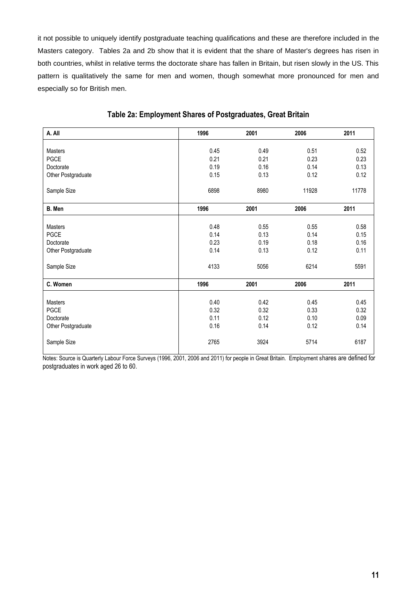it not possible to uniquely identify postgraduate teaching qualifications and these are therefore included in the Masters category. Tables 2a and 2b show that it is evident that the share of Master's degrees has risen in both countries, whilst in relative terms the doctorate share has fallen in Britain, but risen slowly in the US. This pattern is qualitatively the same for men and women, though somewhat more pronounced for men and especially so for British men.

| A. All             | 1996 | 2001 | 2006  | 2011  |
|--------------------|------|------|-------|-------|
|                    |      |      |       |       |
| <b>Masters</b>     | 0.45 | 0.49 | 0.51  | 0.52  |
| <b>PGCE</b>        | 0.21 | 0.21 | 0.23  | 0.23  |
| Doctorate          | 0.19 | 0.16 | 0.14  | 0.13  |
| Other Postgraduate | 0.15 | 0.13 | 0.12  | 0.12  |
| Sample Size        | 6898 | 8980 | 11928 | 11778 |
| B. Men             | 1996 | 2001 | 2006  | 2011  |
|                    |      |      |       |       |
| Masters            | 0.48 | 0.55 | 0.55  | 0.58  |
| <b>PGCE</b>        | 0.14 | 0.13 | 0.14  | 0.15  |
| Doctorate          | 0.23 | 0.19 | 0.18  | 0.16  |
| Other Postgraduate | 0.14 | 0.13 | 0.12  | 0.11  |
| Sample Size        | 4133 | 5056 | 6214  | 5591  |
| C. Women           | 1996 | 2001 | 2006  | 2011  |
|                    |      |      |       |       |
| <b>Masters</b>     | 0.40 | 0.42 | 0.45  | 0.45  |
| <b>PGCE</b>        | 0.32 | 0.32 | 0.33  | 0.32  |
| Doctorate          | 0.11 | 0.12 | 0.10  | 0.09  |
| Other Postgraduate | 0.16 | 0.14 | 0.12  | 0.14  |
| Sample Size        | 2765 | 3924 | 5714  | 6187  |

#### **Table 2a: Employment Shares of Postgraduates, Great Britain**

Notes: Source is Quarterly Labour Force Surveys (1996, 2001, 2006 and 2011) for people in Great Britain. Employment shares are defined for postgraduates in work aged 26 to 60.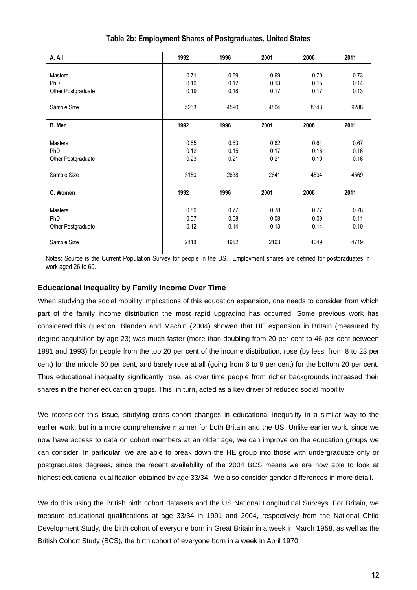| A. All             | 1992 | 1996 | 2001 | 2006 | 2011 |
|--------------------|------|------|------|------|------|
|                    |      |      |      |      |      |
| Masters            | 0.71 | 0.69 | 0.69 | 0.70 | 0.73 |
| PhD                | 0.10 | 0.12 | 0.13 | 0.15 | 0.14 |
| Other Postgraduate | 0.19 | 0.18 | 0.17 | 0.17 | 0.13 |
|                    |      |      |      |      |      |
| Sample Size        | 5263 | 4590 | 4804 | 8643 | 9288 |
|                    |      |      |      |      |      |
| B. Men             | 1992 | 1996 | 2001 | 2006 | 2011 |
|                    |      |      |      |      |      |
| <b>Masters</b>     | 0.65 | 0.63 | 0.62 | 0.64 | 0.67 |
| <b>PhD</b>         | 0.12 | 0.15 | 0.17 | 0.16 | 0.16 |
| Other Postgraduate | 0.23 | 0.21 | 0.21 | 0.19 | 0.16 |
|                    |      |      |      |      |      |
| Sample Size        | 3150 | 2638 | 2641 | 4594 | 4569 |
|                    |      |      |      |      |      |
| C. Women           | 1992 | 1996 | 2001 | 2006 | 2011 |
|                    |      |      |      |      |      |
| Masters            | 0.80 | 0.77 | 0.78 | 0.77 | 0.78 |
| <b>PhD</b>         | 0.07 | 0.08 | 0.08 | 0.09 | 0.11 |
| Other Postgraduate | 0.12 | 0.14 | 0.13 | 0.14 | 0.10 |
|                    |      |      |      |      |      |
| Sample Size        | 2113 | 1952 | 2163 | 4049 | 4719 |
|                    |      |      |      |      |      |

**Table 2b: Employment Shares of Postgraduates, United States**

Notes: Source is the Current Population Survey for people in the US. Employment shares are defined for postgraduates in work aged 26 to 60.

#### **Educational Inequality by Family Income Over Time**

When studying the social mobility implications of this education expansion, one needs to consider from which part of the family income distribution the most rapid upgrading has occurred. Some previous work has considered this question. Blanden and Machin (2004) showed that HE expansion in Britain (measured by degree acquisition by age 23) was much faster (more than doubling from 20 per cent to 46 per cent between 1981 and 1993) for people from the top 20 per cent of the income distribution, rose (by less, from 8 to 23 per cent) for the middle 60 per cent, and barely rose at all (going from 6 to 9 per cent) for the bottom 20 per cent. Thus educational inequality significantly rose, as over time people from richer backgrounds increased their shares in the higher education groups. This, in turn, acted as a key driver of reduced social mobility.

We reconsider this issue, studying cross-cohort changes in educational inequality in a similar way to the earlier work, but in a more comprehensive manner for both Britain and the US. Unlike earlier work, since we now have access to data on cohort members at an older age, we can improve on the education groups we can consider. In particular, we are able to break down the HE group into those with undergraduate only or postgraduates degrees, since the recent availability of the 2004 BCS means we are now able to look at highest educational qualification obtained by age 33/34. We also consider gender differences in more detail.

We do this using the British birth cohort datasets and the US National Longitudinal Surveys. For Britain, we measure educational qualifications at age 33/34 in 1991 and 2004, respectively from the National Child Development Study, the birth cohort of everyone born in Great Britain in a week in March 1958, as well as the British Cohort Study (BCS), the birth cohort of everyone born in a week in April 1970.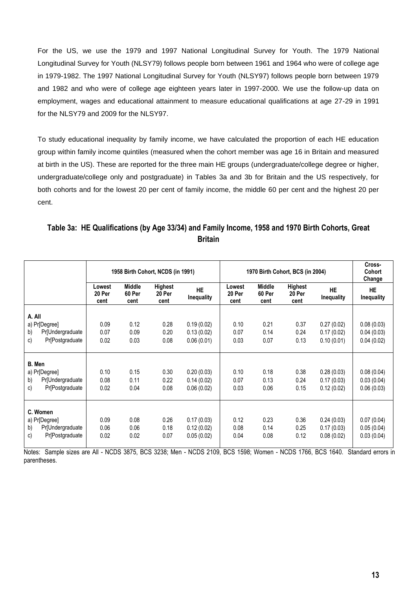For the US, we use the 1979 and 1997 National Longitudinal Survey for Youth. The 1979 National Longitudinal Survey for Youth (NLSY79) follows people born between 1961 and 1964 who were of college age in 1979-1982. The 1997 National Longitudinal Survey for Youth (NLSY97) follows people born between 1979 and 1982 and who were of college age eighteen years later in 1997-2000. We use the follow-up data on employment, wages and educational attainment to measure educational qualifications at age 27-29 in 1991 for the NLSY79 and 2009 for the NLSY97.

To study educational inequality by family income, we have calculated the proportion of each HE education group within family income quintiles (measured when the cohort member was age 16 in Britain and measured at birth in the US). These are reported for the three main HE groups (undergraduate/college degree or higher, undergraduate/college only and postgraduate) in Tables 3a and 3b for Britain and the US respectively, for both cohorts and for the lowest 20 per cent of family income, the middle 60 per cent and the highest 20 per cent.

# **Table 3a: HE Qualifications (by Age 33/34) and Family Income, 1958 and 1970 Birth Cohorts, Great Britain**

|                                     |                          |                                 | 1958 Birth Cohort, NCDS (in 1991) |                                | 1970 Birth Cohort, BCS (in 2004) |                                 |                                  |                          | Cross-<br>Cohort<br>Change |
|-------------------------------------|--------------------------|---------------------------------|-----------------------------------|--------------------------------|----------------------------------|---------------------------------|----------------------------------|--------------------------|----------------------------|
|                                     | Lowest<br>20 Per<br>cent | <b>Middle</b><br>60 Per<br>cent | Highest<br>20 Per<br>cent         | <b>HE</b><br><b>Inequality</b> | Lowest<br>20 Per<br>cent         | <b>Middle</b><br>60 Per<br>cent | <b>Highest</b><br>20 Per<br>cent | <b>HE</b><br>Inequality  | <b>HE</b><br>Inequality    |
| A. All                              |                          |                                 |                                   |                                |                                  |                                 |                                  |                          |                            |
| a) Pr[Degree]                       | 0.09                     | 0.12                            | 0.28                              | 0.19(0.02)                     | 0.10                             | 0.21                            | 0.37                             | 0.27(0.02)               | 0.08(0.03)                 |
| Pr[Undergraduate<br>b)              | 0.07                     | 0.09                            | 0.20                              | 0.13(0.02)                     | 0.07                             | 0.14                            | 0.24                             | 0.17(0.02)               | 0.04(0.03)                 |
| <b>Pr</b> [Postgraduate<br>c)       | 0.02                     | 0.03                            | 0.08                              | 0.06(0.01)                     | 0.03                             | 0.07                            | 0.13                             | 0.10(0.01)               | 0.04(0.02)                 |
| B. Men                              |                          |                                 |                                   |                                |                                  |                                 |                                  |                          |                            |
| a) Pr[Degree]                       | 0.10                     | 0.15                            | 0.30                              | 0.20(0.03)                     | 0.10                             | 0.18                            | 0.38                             | 0.28(0.03)               | 0.08(0.04)                 |
| Pr[Undergraduate<br>b)              | 0.08                     | 0.11                            | 0.22                              | 0.14(0.02)                     | 0.07                             | 0.13                            | 0.24                             | 0.17(0.03)               | 0.03(0.04)                 |
| <b>Pr</b> [Postgraduate<br>c)       | 0.02                     | 0.04                            | 0.08                              | 0.06(0.02)                     | 0.03                             | 0.06                            | 0.15                             | 0.12(0.02)               | 0.06(0.03)                 |
|                                     |                          |                                 |                                   |                                |                                  |                                 |                                  |                          |                            |
| C. Women                            |                          |                                 |                                   |                                |                                  |                                 |                                  |                          |                            |
| a) Pr[Degree]<br>Pr[Undergraduate   | 0.09<br>0.06             | 0.08<br>0.06                    | 0.26<br>0.18                      | 0.17(0.03)                     | 0.12<br>0.08                     | 0.23<br>0.14                    | 0.36<br>0.25                     | 0.24(0.03)               | 0.07(0.04)                 |
| b)<br><b>Pr</b> [Postgraduate<br>c) | 0.02                     | 0.02                            | 0.07                              | 0.12(0.02)<br>0.05(0.02)       | 0.04                             | 0.08                            | 0.12                             | 0.17(0.03)<br>0.08(0.02) | 0.05(0.04)<br>0.03(0.04)   |

Notes: Sample sizes are All - NCDS 3875, BCS 3238; Men - NCDS 2109, BCS 1598; Women - NCDS 1766, BCS 1640. Standard errors in parentheses.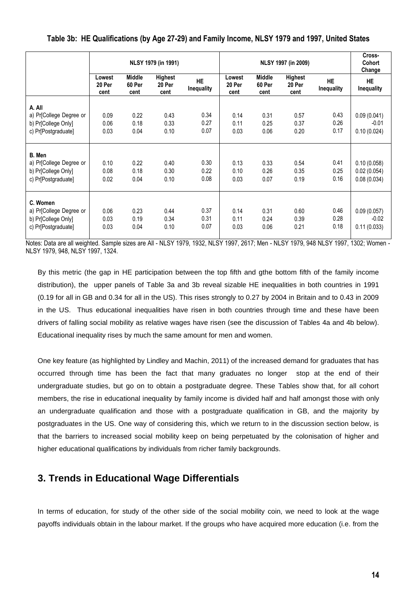|                         |                          |                                 | NLSY 1979 (in 1991)       |                                |                          |                                 | NLSY 1997 (in 2009)              |                         | Cross-<br>Cohort<br>Change |
|-------------------------|--------------------------|---------------------------------|---------------------------|--------------------------------|--------------------------|---------------------------------|----------------------------------|-------------------------|----------------------------|
|                         | Lowest<br>20 Per<br>cent | <b>Middle</b><br>60 Per<br>cent | Highest<br>20 Per<br>cent | <b>HE</b><br><b>Inequality</b> | Lowest<br>20 Per<br>cent | <b>Middle</b><br>60 Per<br>cent | <b>Highest</b><br>20 Per<br>cent | <b>HE</b><br>Inequality | <b>HE</b><br>Inequality    |
| A. All                  |                          |                                 |                           |                                |                          |                                 |                                  |                         |                            |
| a) Pr[College Degree or | 0.09                     | 0.22                            | 0.43                      | 0.34                           | 0.14                     | 0.31                            | 0.57                             | 0.43                    | 0.09(0.041)                |
| b) Pr[College Only]     | 0.06                     | 0.18                            | 0.33                      | 0.27                           | 0.11                     | 0.25                            | 0.37                             | 0.26                    | $-0.01$                    |
| c) Pr[Postgraduate]     | 0.03                     | 0.04                            | 0.10                      | 0.07                           | 0.03                     | 0.06                            | 0.20                             | 0.17                    | 0.10(0.024)                |
|                         |                          |                                 |                           |                                |                          |                                 |                                  |                         |                            |
|                         |                          |                                 |                           |                                |                          |                                 |                                  |                         |                            |
| B. Men                  |                          |                                 |                           |                                |                          |                                 |                                  |                         |                            |
| a) Pr[College Degree or | 0.10                     | 0.22                            | 0.40                      | 0.30                           | 0.13                     | 0.33                            | 0.54                             | 0.41                    | 0.10(0.058)                |
| b) Pr[College Only]     | 0.08                     | 0.18                            | 0.30                      | 0.22                           | 0.10                     | 0.26                            | 0.35                             | 0.25                    | 0.02(0.054)                |
| c) Pr[Postgraduate]     | 0.02                     | 0.04                            | 0.10                      | 0.08                           | 0.03                     | 0.07                            | 0.19                             | 0.16                    | 0.08(0.034)                |
|                         |                          |                                 |                           |                                |                          |                                 |                                  |                         |                            |
| C. Women                |                          |                                 |                           |                                |                          |                                 |                                  |                         |                            |
| a) Pr[College Degree or | 0.06                     | 0.23                            | 0.44                      | 0.37                           | 0.14                     | 0.31                            | 0.60                             | 0.46                    | 0.09(0.057)                |
| b) Pr[College Only]     | 0.03                     | 0.19                            | 0.34                      | 0.31                           | 0.11                     | 0.24                            | 0.39                             | 0.28                    | $-0.02$                    |
| c) Pr[Postgraduate]     | 0.03                     | 0.04                            | 0.10                      | 0.07                           | 0.03                     | 0.06                            | 0.21                             | 0.18                    | 0.11(0.033)                |
|                         |                          |                                 |                           |                                |                          |                                 |                                  |                         |                            |

**Table 3b: HE Qualifications (by Age 27-29) and Family Income, NLSY 1979 and 1997, United States**

Notes: Data are all weighted. Sample sizes are All - NLSY 1979, 1932, NLSY 1997, 2617; Men - NLSY 1979, 948 NLSY 1997, 1302; Women - NLSY 1979, 948, NLSY 1997, 1324.

By this metric (the gap in HE participation between the top fifth and gthe bottom fifth of the family income distribution), the upper panels of Table 3a and 3b reveal sizable HE inequalities in both countries in 1991 (0.19 for all in GB and 0.34 for all in the US). This rises strongly to 0.27 by 2004 in Britain and to 0.43 in 2009 in the US. Thus educational inequalities have risen in both countries through time and these have been drivers of falling social mobility as relative wages have risen (see the discussion of Tables 4a and 4b below). Educational inequality rises by much the same amount for men and women.

One key feature (as highlighted by Lindley and Machin, 2011) of the increased demand for graduates that has occurred through time has been the fact that many graduates no longer stop at the end of their undergraduate studies, but go on to obtain a postgraduate degree. These Tables show that, for all cohort members, the rise in educational inequality by family income is divided half and half amongst those with only an undergraduate qualification and those with a postgraduate qualification in GB, and the majority by postgraduates in the US. One way of considering this, which we return to in the discussion section below, is that the barriers to increased social mobility keep on being perpetuated by the colonisation of higher and higher educational qualifications by individuals from richer family backgrounds.

# <span id="page-13-0"></span>**3. Trends in Educational Wage Differentials**

In terms of education, for study of the other side of the social mobility coin, we need to look at the wage payoffs individuals obtain in the labour market. If the groups who have acquired more education (i.e. from the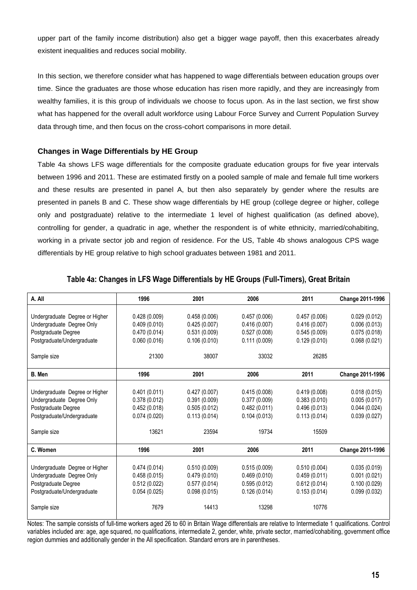upper part of the family income distribution) also get a bigger wage payoff, then this exacerbates already existent inequalities and reduces social mobility.

In this section, we therefore consider what has happened to wage differentials between education groups over time. Since the graduates are those whose education has risen more rapidly, and they are increasingly from wealthy families, it is this group of individuals we choose to focus upon. As in the last section, we first show what has happened for the overall adult workforce using Labour Force Survey and Current Population Survey data through time, and then focus on the cross-cohort comparisons in more detail.

#### **Changes in Wage Differentials by HE Group**

Table 4a shows LFS wage differentials for the composite graduate education groups for five year intervals between 1996 and 2011. These are estimated firstly on a pooled sample of male and female full time workers and these results are presented in panel A, but then also separately by gender where the results are presented in panels B and C. These show wage differentials by HE group (college degree or higher, college only and postgraduate) relative to the intermediate 1 level of highest qualification (as defined above), controlling for gender, a quadratic in age, whether the respondent is of white ethnicity, married/cohabiting, working in a private sector job and region of residence. For the US, Table 4b shows analogous CPS wage differentials by HE group relative to high school graduates between 1981 and 2011.

| A. All                         | 1996         | 2001         | 2006         | 2011         | Change 2011-1996 |
|--------------------------------|--------------|--------------|--------------|--------------|------------------|
|                                |              |              |              |              |                  |
| Undergraduate Degree or Higher | 0.428(0.009) | 0.458(0.006) | 0.457(0.006) | 0.457(0.006) | 0.029(0.012)     |
| Undergraduate Degree Only      | 0.409(0.010) | 0.425(0.007) | 0.416(0.007) | 0.416(0.007) | 0.006(0.013)     |
| Postgraduate Degree            | 0.470(0.014) | 0.531(0.009) | 0.527(0.008) | 0.545(0.009) | 0.075(0.018)     |
| Postgraduate/Undergraduate     | 0.060(0.016) | 0.106(0.010) | 0.111(0.009) | 0.129(0.010) | 0.068(0.021)     |
| Sample size                    | 21300        | 38007        | 33032        | 26285        |                  |
| B. Men                         | 1996         | 2001         | 2006         | 2011         | Change 2011-1996 |
|                                |              |              |              |              |                  |
| Undergraduate Degree or Higher | 0.401(0.011) | 0.427(0.007) | 0.415(0.008) | 0.419(0.008) | 0.018(0.015)     |
| Undergraduate Degree Only      | 0.378(0.012) | 0.391(0.009) | 0.377(0.009) | 0.383(0.010) | 0.005(0.017)     |
| Postgraduate Degree            | 0.452(0.018) | 0.505(0.012) | 0.482(0.011) | 0.496(0.013) | 0.044(0.024)     |
| Postgraduate/Undergraduate     | 0.074(0.020) | 0.113(0.014) | 0.104(0.013) | 0.113(0.014) | 0.039(0.027)     |
| Sample size                    | 13621        | 23594        | 19734        | 15509        |                  |
| C. Women                       | 1996         | 2001         | 2006         | 2011         | Change 2011-1996 |
|                                |              |              |              |              |                  |
| Undergraduate Degree or Higher | 0.474(0.014) | 0.510(0.009) | 0.515(0.009) | 0.510(0.004) | 0.035(0.019)     |
| Undergraduate Degree Only      | 0.458(0.015) | 0.479(0.010) | 0.469(0.010) | 0.459(0.011) | 0.001(0.021)     |
| Postgraduate Degree            | 0.512(0.022) | 0.577(0.014) | 0.595(0.012) | 0.612(0.014) | 0.100(0.029)     |
| Postgraduate/Undergraduate     | 0.054(0.025) | 0.098(0.015) | 0.126(0.014) | 0.153(0.014) | 0.099(0.032)     |
| Sample size                    | 7679         | 14413        | 13298        | 10776        |                  |

#### **Table 4a: Changes in LFS Wage Differentials by HE Groups (Full-Timers), Great Britain**

Notes: The sample consists of full-time workers aged 26 to 60 in Britain Wage differentials are relative to Intermediate 1 qualifications. Control variables included are: age, age squared, no qualifications, intermediate 2, gender, white, private sector, married/cohabiting, government office region dummies and additionally gender in the All specification. Standard errors are in parentheses.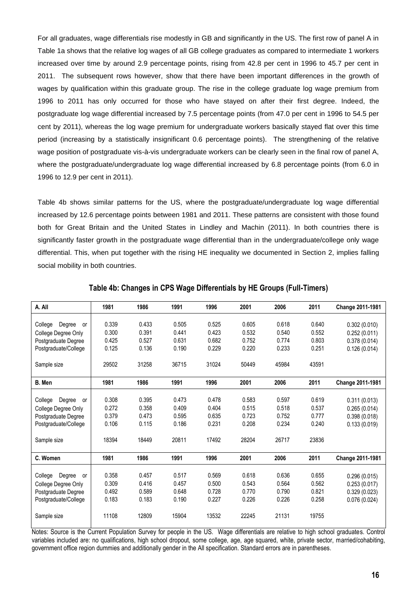For all graduates, wage differentials rise modestly in GB and significantly in the US. The first row of panel A in Table 1a shows that the relative log wages of all GB college graduates as compared to intermediate 1 workers increased over time by around 2.9 percentage points, rising from 42.8 per cent in 1996 to 45.7 per cent in 2011. The subsequent rows however, show that there have been important differences in the growth of wages by qualification within this graduate group. The rise in the college graduate log wage premium from 1996 to 2011 has only occurred for those who have stayed on after their first degree. Indeed, the postgraduate log wage differential increased by 7.5 percentage points (from 47.0 per cent in 1996 to 54.5 per cent by 2011), whereas the log wage premium for undergraduate workers basically stayed flat over this time period (increasing by a statistically insignificant 0.6 percentage points). The strengthening of the relative wage position of postgraduate vis-à-vis undergraduate workers can be clearly seen in the final row of panel A, where the postgraduate/undergraduate log wage differential increased by 6.8 percentage points (from 6.0 in 1996 to 12.9 per cent in 2011).

Table 4b shows similar patterns for the US, where the postgraduate/undergraduate log wage differential increased by 12.6 percentage points between 1981 and 2011. These patterns are consistent with those found both for Great Britain and the United States in Lindley and Machin (2011). In both countries there is significantly faster growth in the postgraduate wage differential than in the undergraduate/college only wage differential. This, when put together with the rising HE inequality we documented in Section 2, implies falling social mobility in both countries.

| A. All                  | 1981  | 1986  | 1991  | 1996  | 2001  | 2006  | 2011  | Change 2011-1981 |
|-------------------------|-------|-------|-------|-------|-------|-------|-------|------------------|
|                         |       |       |       |       |       |       |       |                  |
| Degree<br>College<br>or | 0.339 | 0.433 | 0.505 | 0.525 | 0.605 | 0.618 | 0.640 | 0.302(0.010)     |
| College Degree Only     | 0.300 | 0.391 | 0.441 | 0.423 | 0.532 | 0.540 | 0.552 | 0.252(0.011)     |
| Postgraduate Degree     | 0.425 | 0.527 | 0.631 | 0.682 | 0.752 | 0.774 | 0.803 | 0.378(0.014)     |
| Postgraduate/College    | 0.125 | 0.136 | 0.190 | 0.229 | 0.220 | 0.233 | 0.251 | 0.126(0.014)     |
|                         |       |       |       |       |       |       |       |                  |
| Sample size             | 29502 | 31258 | 36715 | 31024 | 50449 | 45984 | 43591 |                  |
| B. Men                  | 1981  | 1986  | 1991  | 1996  | 2001  | 2006  | 2011  | Change 2011-1981 |
|                         |       |       |       |       |       |       |       |                  |
| Degree<br>College<br>or | 0.308 | 0.395 | 0.473 | 0.478 | 0.583 | 0.597 | 0.619 | 0.311(0.013)     |
| College Degree Only     | 0.272 | 0.358 | 0.409 | 0.404 | 0.515 | 0.518 | 0.537 | 0.265(0.014)     |
| Postgraduate Degree     | 0.379 | 0.473 | 0.595 | 0.635 | 0.723 | 0.752 | 0.777 | 0.398(0.018)     |
| Postgraduate/College    | 0.106 | 0.115 | 0.186 | 0.231 | 0.208 | 0.234 | 0.240 | 0.133(0.019)     |
|                         |       |       |       |       |       |       |       |                  |
| Sample size             | 18394 | 18449 | 20811 | 17492 | 28204 | 26717 | 23836 |                  |
|                         |       |       |       |       |       |       |       |                  |
| C. Women                | 1981  | 1986  | 1991  | 1996  | 2001  | 2006  | 2011  | Change 2011-1981 |
|                         |       |       |       |       |       |       |       |                  |
| College<br>Degree<br>or | 0.358 | 0.457 | 0.517 | 0.569 | 0.618 | 0.636 | 0.655 | 0.296(0.015)     |
| College Degree Only     | 0.309 | 0.416 | 0.457 | 0.500 | 0.543 | 0.564 | 0.562 | 0.253(0.017)     |
| Postgraduate Degree     | 0.492 | 0.589 | 0.648 | 0.728 | 0.770 | 0.790 | 0.821 | 0.329(0.023)     |
| Postgraduate/College    | 0.183 | 0.183 | 0.190 | 0.227 | 0.226 | 0.226 | 0.258 | 0.076(0.024)     |
|                         |       |       |       |       |       |       |       |                  |
| Sample size             | 11108 | 12809 | 15904 | 13532 | 22245 | 21131 | 19755 |                  |
|                         |       |       |       |       |       |       |       |                  |

**Table 4b: Changes in CPS Wage Differentials by HE Groups (Full-Timers)**

Notes: Source is the Current Population Survey for people in the US. Wage differentials are relative to high school graduates. Control variables included are: no qualifications, high school dropout, some college, age, age squared, white, private sector, married/cohabiting, government office region dummies and additionally gender in the All specification. Standard errors are in parentheses.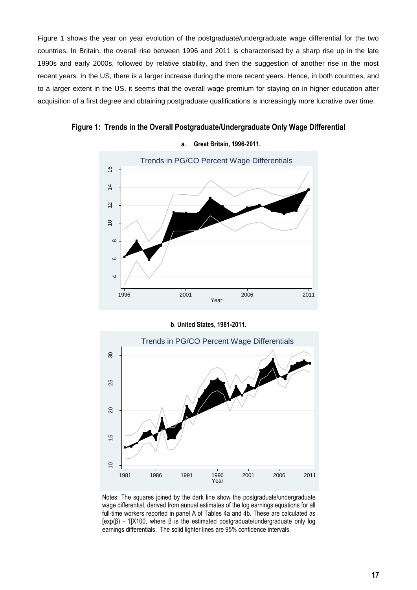Figure 1 shows the year on year evolution of the postgraduate/undergraduate wage differential for the two countries. In Britain, the overall rise between 1996 and 2011 is characterised by a sharp rise up in the late 1990s and early 2000s, followed by relative stability, and then the suggestion of another rise in the most recent years. In the US, there is a larger increase during the more recent years. Hence, in both countries, and to a larger extent in the US, it seems that the overall wage premium for staying on in higher education after acquisition of a first degree and obtaining postgraduate qualifications is increasingly more lucrative over time.

**a. Great Britain, 1996-2011.** Trends in PG/CO Percent Wage Differentials  $\frac{6}{5}$ 10 12 14 16  $\overline{4}$  $\overline{a}$  $\subseteq$ 

**Figure 1: Trends in the Overall Postgraduate/Undergraduate Only Wage Differential**

**b. United States, 1981-2011.**

1996 2001 2006 2011 Year

 $\overline{a}$ 

- ∞<br>-<br><del>ط</del>



Notes: The squares joined by the dark line show the postgraduate/undergraduate wage differential, derived from annual estimates of the log earnings equations for all full-time workers reported in panel A of Tables 4a and 4b. These are calculated as  $[exp(B) - 1]X100$ , where  $\beta$  is the estimated postgraduate/undergraduate only log earnings differentials. The solid lighter lines are 95% confidence intervals.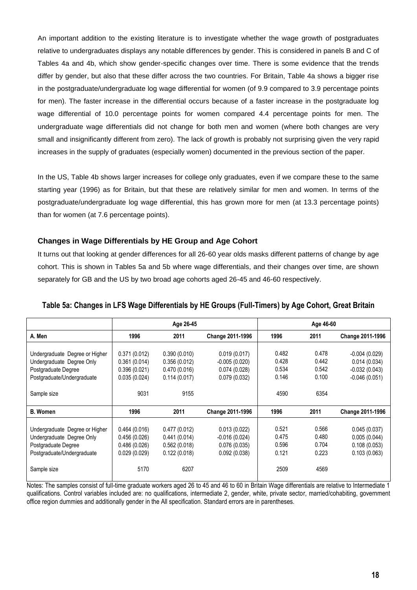An important addition to the existing literature is to investigate whether the wage growth of postgraduates relative to undergraduates displays any notable differences by gender. This is considered in panels B and C of Tables 4a and 4b, which show gender-specific changes over time. There is some evidence that the trends differ by gender, but also that these differ across the two countries. For Britain, Table 4a shows a bigger rise in the postgraduate/undergraduate log wage differential for women (of 9.9 compared to 3.9 percentage points for men). The faster increase in the differential occurs because of a faster increase in the postgraduate log wage differential of 10.0 percentage points for women compared 4.4 percentage points for men. The undergraduate wage differentials did not change for both men and women (where both changes are very small and insignificantly different from zero). The lack of growth is probably not surprising given the very rapid increases in the supply of graduates (especially women) documented in the previous section of the paper.

In the US, Table 4b shows larger increases for college only graduates, even if we compare these to the same starting year (1996) as for Britain, but that these are relatively similar for men and women. In terms of the postgraduate/undergraduate log wage differential, this has grown more for men (at 13.3 percentage points) than for women (at 7.6 percentage points).

#### **Changes in Wage Differentials by HE Group and Age Cohort**

It turns out that looking at gender differences for all 26-60 year olds masks different patterns of change by age cohort. This is shown in Tables 5a and 5b where wage differentials, and their changes over time, are shown separately for GB and the US by two broad age cohorts aged 26-45 and 46-60 respectively.

|                                                                                                                  |                                                              | Age 26-45                                                    |                                                                 |                                  | Age 46-60                        |                                                                       |
|------------------------------------------------------------------------------------------------------------------|--------------------------------------------------------------|--------------------------------------------------------------|-----------------------------------------------------------------|----------------------------------|----------------------------------|-----------------------------------------------------------------------|
| A. Men                                                                                                           | 1996                                                         | 2011                                                         | <b>Change 2011-1996</b>                                         | 1996                             | 2011                             | <b>Change 2011-1996</b>                                               |
| Undergraduate Degree or Higher<br>Undergraduate Degree Only<br>Postgraduate Degree<br>Postgraduate/Undergraduate | 0.371(0.012)<br>0.361(0.014)<br>0.396(0.021)<br>0.035(0.024) | 0.390(0.010)<br>0.356(0.012)<br>0.470(0.016)<br>0.114(0.017) | 0.019(0.017)<br>$-0.005(0.020)$<br>0.074(0.028)<br>0.079(0.032) | 0.482<br>0.428<br>0.534<br>0.146 | 0.478<br>0.442<br>0.542<br>0.100 | $-0.004(0.029)$<br>0.014(0.034)<br>$-0.032(0.043)$<br>$-0.046(0.051)$ |
| Sample size                                                                                                      | 9031                                                         | 9155                                                         |                                                                 | 4590                             | 6354                             |                                                                       |
| <b>B.</b> Women                                                                                                  | 1996                                                         | 2011                                                         | <b>Change 2011-1996</b>                                         | 1996                             | 2011                             | Change 2011-1996                                                      |
| Undergraduate Degree or Higher<br>Undergraduate Degree Only<br>Postgraduate Degree<br>Postgraduate/Undergraduate | 0.464(0.016)<br>0.456(0.026)<br>0.486(0.026)<br>0.029(0.029) | 0.477(0.012)<br>0.441(0.014)<br>0.562(0.018)<br>0.122(0.018) | 0.013(0.022)<br>$-0.016(0.024)$<br>0.076(0.035)<br>0.092(0.038) | 0.521<br>0.475<br>0.596<br>0.121 | 0.566<br>0.480<br>0.704<br>0.223 | 0.045(0.037)<br>0.005(0.044)<br>0.108(0.053)<br>0.103(0.063)          |
| Sample size                                                                                                      | 5170                                                         | 6207                                                         |                                                                 | 2509                             | 4569                             |                                                                       |

#### **Table 5a: Changes in LFS Wage Differentials by HE Groups (Full-Timers) by Age Cohort, Great Britain**

Notes: The samples consist of full-time graduate workers aged 26 to 45 and 46 to 60 in Britain Wage differentials are relative to Intermediate 1 qualifications. Control variables included are: no qualifications, intermediate 2, gender, white, private sector, married/cohabiting, government office region dummies and additionally gender in the All specification. Standard errors are in parentheses.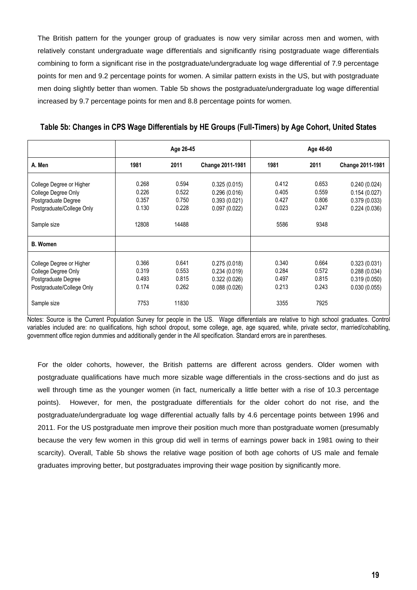The British pattern for the younger group of graduates is now very similar across men and women, with relatively constant undergraduate wage differentials and significantly rising postgraduate wage differentials combining to form a significant rise in the postgraduate/undergraduate log wage differential of 7.9 percentage points for men and 9.2 percentage points for women. A similar pattern exists in the US, but with postgraduate men doing slightly better than women. Table 5b shows the postgraduate/undergraduate log wage differential increased by 9.7 percentage points for men and 8.8 percentage points for women.

| Table 5b: Changes in CPS Wage Differentials by HE Groups (Full-Timers) by Age Cohort, United States |  |  |  |
|-----------------------------------------------------------------------------------------------------|--|--|--|
|                                                                                                     |  |  |  |

|                           | Age 26-45 |       |                  | Age 46-60 |       |                  |
|---------------------------|-----------|-------|------------------|-----------|-------|------------------|
| A. Men                    | 1981      | 2011  | Change 2011-1981 | 1981      | 2011  | Change 2011-1981 |
| College Degree or Higher  | 0.268     | 0.594 | 0.325(0.015)     | 0.412     | 0.653 | 0.240(0.024)     |
| College Degree Only       | 0.226     | 0.522 | 0.296(0.016)     | 0.405     | 0.559 | 0.154(0.027)     |
| Postgraduate Degree       | 0.357     | 0.750 | 0.393(0.021)     | 0.427     | 0.806 | 0.379(0.033)     |
| Postgraduate/College Only | 0.130     | 0.228 | 0.097(0.022)     | 0.023     | 0.247 | 0.224(0.036)     |
| Sample size               | 12808     | 14488 |                  | 5586      | 9348  |                  |
| <b>B.</b> Women           |           |       |                  |           |       |                  |
| College Degree or Higher  | 0.366     | 0.641 | 0.275(0.018)     | 0.340     | 0.664 | 0.323(0.031)     |
| College Degree Only       | 0.319     | 0.553 | 0.234(0.019)     | 0.284     | 0.572 | 0.288(0.034)     |
| Postgraduate Degree       | 0.493     | 0.815 | 0.322(0.026)     | 0.497     | 0.815 | 0.319(0.050)     |
| Postgraduate/College Only | 0.174     | 0.262 | 0.088(0.026)     | 0.213     | 0.243 | 0.030(0.055)     |
| Sample size               | 7753      | 11830 |                  | 3355      | 7925  |                  |

Notes: Source is the Current Population Survey for people in the US. Wage differentials are relative to high school graduates. Control variables included are: no qualifications, high school dropout, some college, age, age squared, white, private sector, married/cohabiting, government office region dummies and additionally gender in the All specification. Standard errors are in parentheses.

<span id="page-18-0"></span>For the older cohorts, however, the British patterns are different across genders. Older women with postgraduate qualifications have much more sizable wage differentials in the cross-sections and do just as well through time as the younger women (in fact, numerically a little better with a rise of 10.3 percentage points). However, for men, the postgraduate differentials for the older cohort do not rise, and the postgraduate/undergraduate log wage differential actually falls by 4.6 percentage points between 1996 and 2011. For the US postgraduate men improve their position much more than postgraduate women (presumably because the very few women in this group did well in terms of earnings power back in 1981 owing to their scarcity). Overall, Table 5b shows the relative wage position of both age cohorts of US male and female graduates improving better, but postgraduates improving their wage position by significantly more.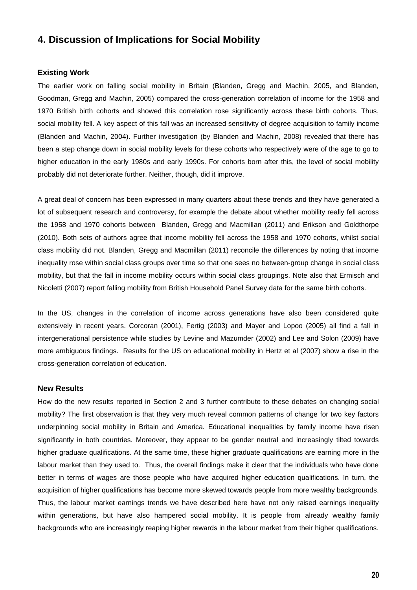# **4. Discussion of Implications for Social Mobility**

#### **Existing Work**

The earlier work on falling social mobility in Britain (Blanden, Gregg and Machin, 2005, and Blanden, Goodman, Gregg and Machin, 2005) compared the cross-generation correlation of income for the 1958 and 1970 British birth cohorts and showed this correlation rose significantly across these birth cohorts. Thus, social mobility fell. A key aspect of this fall was an increased sensitivity of degree acquisition to family income (Blanden and Machin, 2004). Further investigation (by Blanden and Machin, 2008) revealed that there has been a step change down in social mobility levels for these cohorts who respectively were of the age to go to higher education in the early 1980s and early 1990s. For cohorts born after this, the level of social mobility probably did not deteriorate further. Neither, though, did it improve.

A great deal of concern has been expressed in many quarters about these trends and they have generated a lot of subsequent research and controversy, for example the debate about whether mobility really fell across the 1958 and 1970 cohorts between Blanden, Gregg and Macmillan (2011) and Erikson and Goldthorpe (2010). Both sets of authors agree that income mobility fell across the 1958 and 1970 cohorts, whilst social class mobility did not. Blanden, Gregg and Macmillan (2011) reconcile the differences by noting that income inequality rose within social class groups over time so that one sees no between-group change in social class mobility, but that the fall in income mobility occurs within social class groupings. Note also that Ermisch and Nicoletti (2007) report falling mobility from British Household Panel Survey data for the same birth cohorts.

In the US, changes in the correlation of income across generations have also been considered quite extensively in recent years. Corcoran (2001), Fertig (2003) and Mayer and Lopoo (2005) all find a fall in intergenerational persistence while studies by Levine and Mazumder (2002) and Lee and Solon (2009) have more ambiguous findings. Results for the US on educational mobility in Hertz et al (2007) show a rise in the cross-generation correlation of education.

#### **New Results**

How do the new results reported in Section 2 and 3 further contribute to these debates on changing social mobility? The first observation is that they very much reveal common patterns of change for two key factors underpinning social mobility in Britain and America. Educational inequalities by family income have risen significantly in both countries. Moreover, they appear to be gender neutral and increasingly tilted towards higher graduate qualifications. At the same time, these higher graduate qualifications are earning more in the labour market than they used to. Thus, the overall findings make it clear that the individuals who have done better in terms of wages are those people who have acquired higher education qualifications. In turn, the acquisition of higher qualifications has become more skewed towards people from more wealthy backgrounds. Thus, the labour market earnings trends we have described here have not only raised earnings inequality within generations, but have also hampered social mobility. It is people from already wealthy family backgrounds who are increasingly reaping higher rewards in the labour market from their higher qualifications.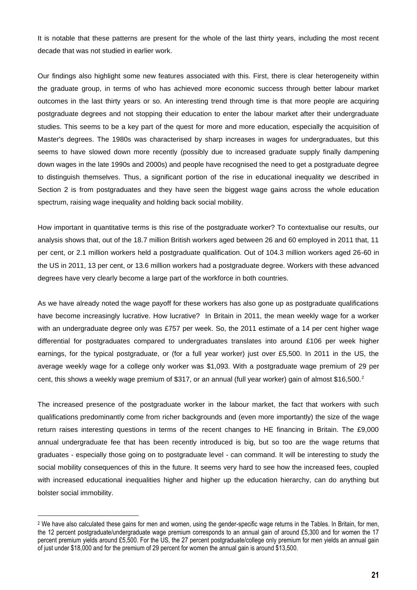It is notable that these patterns are present for the whole of the last thirty years, including the most recent decade that was not studied in earlier work.

Our findings also highlight some new features associated with this. First, there is clear heterogeneity within the graduate group, in terms of who has achieved more economic success through better labour market outcomes in the last thirty years or so. An interesting trend through time is that more people are acquiring postgraduate degrees and not stopping their education to enter the labour market after their undergraduate studies. This seems to be a key part of the quest for more and more education, especially the acquisition of Master's degrees. The 1980s was characterised by sharp increases in wages for undergraduates, but this seems to have slowed down more recently (possibly due to increased graduate supply finally dampening down wages in the late 1990s and 2000s) and people have recognised the need to get a postgraduate degree to distinguish themselves. Thus, a significant portion of the rise in educational inequality we described in Section 2 is from postgraduates and they have seen the biggest wage gains across the whole education spectrum, raising wage inequality and holding back social mobility.

How important in quantitative terms is this rise of the postgraduate worker? To contextualise our results, our analysis shows that, out of the 18.7 million British workers aged between 26 and 60 employed in 2011 that, 11 per cent, or 2.1 million workers held a postgraduate qualification. Out of 104.3 million workers aged 26-60 in the US in 2011, 13 per cent, or 13.6 million workers had a postgraduate degree. Workers with these advanced degrees have very clearly become a large part of the workforce in both countries.

As we have already noted the wage payoff for these workers has also gone up as postgraduate qualifications have become increasingly lucrative. How lucrative? In Britain in 2011, the mean weekly wage for a worker with an undergraduate degree only was £757 per week. So, the 2011 estimate of a 14 per cent higher wage differential for postgraduates compared to undergraduates translates into around £106 per week higher earnings, for the typical postgraduate, or (for a full year worker) just over £5,500. In 2011 in the US, the average weekly wage for a college only worker was \$1,093. With a postgraduate wage premium of 29 per cent, this shows a weekly wage premium of \$317, or an annual (full year worker) gain of almost \$16,500.<sup>2</sup>

The increased presence of the postgraduate worker in the labour market, the fact that workers with such qualifications predominantly come from richer backgrounds and (even more importantly) the size of the wage return raises interesting questions in terms of the recent changes to HE financing in Britain. The £9,000 annual undergraduate fee that has been recently introduced is big, but so too are the wage returns that graduates - especially those going on to postgraduate level - can command. It will be interesting to study the social mobility consequences of this in the future. It seems very hard to see how the increased fees, coupled with increased educational inequalities higher and higher up the education hierarchy, can do anything but bolster social immobility. with increased educational inequalities higher and higher up the education hierarchy, can do anything but<br>bolster social immobility.<br><sup>2</sup> We have also calculated these gains for men and women, using the gender-specific wage

the 12 percent postgraduate/undergraduate wage premium corresponds to an annual gain of around £5,300 and for women the 17 percent premium yields around £5,500. For the US, the 27 percent postgraduate/college only premium for men yields an annual gain of just under \$18,000 and for the premium of 29 percent for women the annual gain is around \$13,500.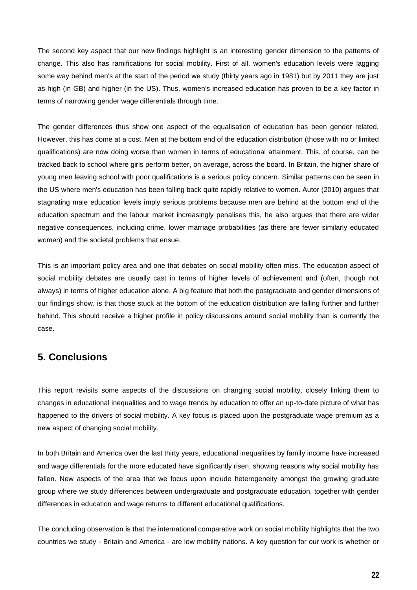The second key aspect that our new findings highlight is an interesting gender dimension to the patterns of change. This also has ramifications for social mobility. First of all, women's education levels were lagging some way behind men's at the start of the period we study (thirty years ago in 1981) but by 2011 they are just as high (in GB) and higher (in the US). Thus, women's increased education has proven to be a key factor in terms of narrowing gender wage differentials through time.

The gender differences thus show one aspect of the equalisation of education has been gender related. However, this has come at a cost. Men at the bottom end of the education distribution (those with no or limited qualifications) are now doing worse than women in terms of educational attainment. This, of course, can be tracked back to school where girls perform better, on average, across the board. In Britain, the higher share of young men leaving school with poor qualifications is a serious policy concern. Similar patterns can be seen in the US where men's education has been falling back quite rapidly relative to women. Autor (2010) argues that stagnating male education levels imply serious problems because men are behind at the bottom end of the education spectrum and the labour market increasingly penalises this, he also argues that there are wider negative consequences, including crime, lower marriage probabilities (as there are fewer similarly educated women) and the societal problems that ensue.

This is an important policy area and one that debates on social mobility often miss. The education aspect of social mobility debates are usually cast in terms of higher levels of achievement and (often, though not always) in terms of higher education alone. A big feature that both the postgraduate and gender dimensions of our findings show, is that those stuck at the bottom of the education distribution are falling further and further behind. This should receive a higher profile in policy discussions around social mobility than is currently the case.

# <span id="page-21-0"></span>**5. Conclusions**

This report revisits some aspects of the discussions on changing social mobility, closely linking them to changes in educational inequalities and to wage trends by education to offer an up-to-date picture of what has happened to the drivers of social mobility. A key focus is placed upon the postgraduate wage premium as a new aspect of changing social mobility.

In both Britain and America over the last thirty years, educational inequalities by family income have increased and wage differentials for the more educated have significantly risen, showing reasons why social mobility has fallen. New aspects of the area that we focus upon include heterogeneity amongst the growing graduate group where we study differences between undergraduate and postgraduate education, together with gender differences in education and wage returns to different educational qualifications.

The concluding observation is that the international comparative work on social mobility highlights that the two countries we study - Britain and America - are low mobility nations. A key question for our work is whether or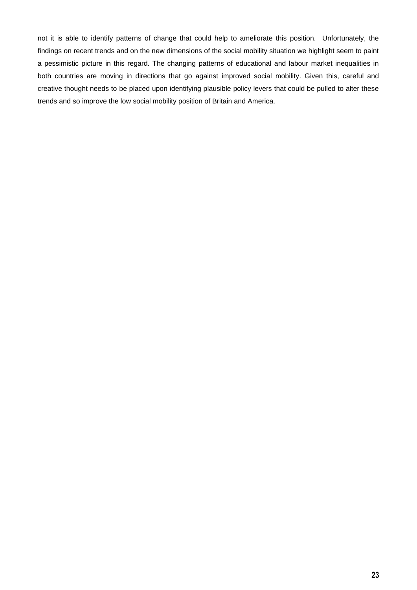<span id="page-22-0"></span>not it is able to identify patterns of change that could help to ameliorate this position. Unfortunately, the findings on recent trends and on the new dimensions of the social mobility situation we highlight seem to paint a pessimistic picture in this regard. The changing patterns of educational and labour market inequalities in both countries are moving in directions that go against improved social mobility. Given this, careful and creative thought needs to be placed upon identifying plausible policy levers that could be pulled to alter these trends and so improve the low social mobility position of Britain and America.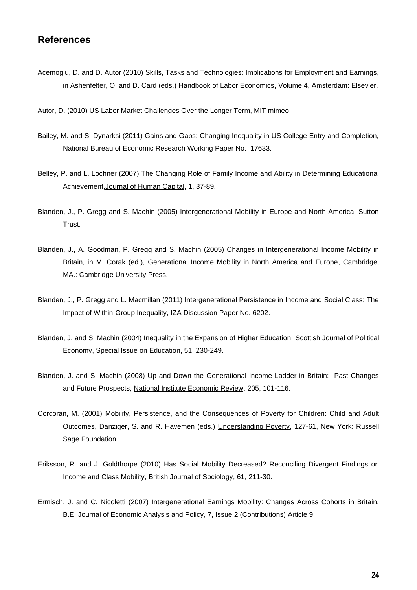# **References**

- Acemoglu, D. and D. Autor (2010) Skills, Tasks and Technologies: Implications for Employment and Earnings, in Ashenfelter, O. and D. Card (eds.) Handbook of Labor Economics, Volume 4, Amsterdam: Elsevier.
- Autor, D. (2010) US Labor Market Challenges Over the Longer Term, MIT mimeo.
- Bailey, M. and S. Dynarksi (2011) Gains and Gaps: Changing Inequality in US College Entry and Completion, National Bureau of Economic Research Working Paper No. 17633.
- Belley, P. and L. Lochner (2007) The Changing Role of Family Income and Ability in Determining Educational Achievement,Journal of Human Capital, 1, 37-89.
- Blanden, J., P. Gregg and S. Machin (2005) Intergenerational Mobility in Europe and North America, Sutton Trust.
- Blanden, J., A. Goodman, P. Gregg and S. Machin (2005) Changes in Intergenerational Income Mobility in Britain, in M. Corak (ed.), Generational Income Mobility in North America and Europe, Cambridge, MA.: Cambridge University Press.
- Blanden, J., P. Gregg and L. Macmillan (2011) Intergenerational Persistence in Income and Social Class: The Impact of Within-Group Inequality, IZA Discussion Paper No. 6202.
- Blanden, J. and S. Machin (2004) Inequality in the Expansion of Higher Education, Scottish Journal of Political Economy, Special Issue on Education, 51, 230-249.
- Blanden, J. and S. Machin (2008) Up and Down the Generational Income Ladder in Britain: Past Changes and Future Prospects, National Institute Economic Review, 205, 101-116.
- Corcoran, M. (2001) Mobility, Persistence, and the Consequences of Poverty for Children: Child and Adult Outcomes, Danziger, S. and R. Havemen (eds.) Understanding Poverty, 127-61, New York: Russell Sage Foundation.
- Eriksson, R. and J. Goldthorpe (2010) Has Social Mobility Decreased? Reconciling Divergent Findings on Income and Class Mobility, British Journal of Sociology, 61, 211-30.
- Ermisch, J. and C. Nicoletti (2007) Intergenerational Earnings Mobility: Changes Across Cohorts in Britain, B.E. Journal of Economic Analysis and Policy, 7, Issue 2 (Contributions) Article 9.